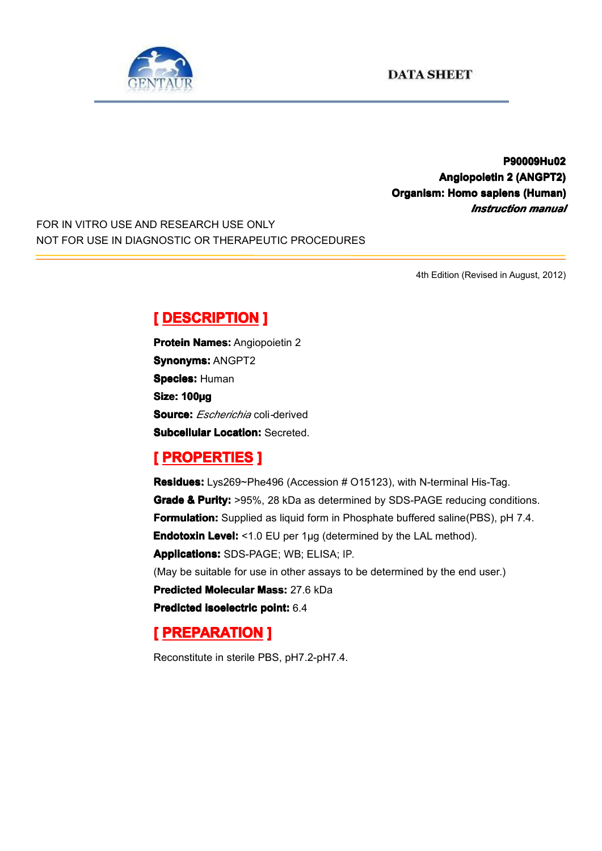

**P90009Hu0 P90009Hu0 P90009Hu02 Angiopoietin AngiopoietinAngiopoietinAngiopoietin2 (ANGPT2) (ANGPT2) Organism: Homo sapiens (Human) (Human)** *Instruction manual*

FOR IN VITRO USE AND RESEARCH USE ONLY NOT FOR USE IN DIAGNOSTIC OR THERAPEUTIC PROCEDURES

4th Edition (Revised in August, 2012)

### $[$  **DESCRIPTION** ]

**Protein Names: Angiopoietin 2 Synonyms: ANGPT2 Species: Human Size: 100µg Source:** *Escherichia* coli*-*derived **Subcellular Location: Secreted.** 

## $R$  **PROPERTIES ]**

**Residues:** Lys269~Phe496 (Accession # O15123), with N-terminal His-Tag. **Grade & Purity:** >95%, 28 kDa as determined by SDS-PAGE reducing conditions. **Formulation:** Supplied as liquid form in Phosphate buffered saline(PBS), pH 7.4. **Endotoxin Level:** <1.0 EU per 1µg (determined by the LAL method). **Applications: Applications:**SDS-PAGE; WB; ELISA; IP. (May be suitable for use in other assays to be determined by the end user.) **Predicted Molecular Mass:** 27.6 kDa **Predicted Predicted[isoelectric](app:ds:  isoelectric point) isoelectricisoelectricisoelectric point:** 6.4

# $[$  **PREPARATION**

Reconstitute in sterile PBS, pH7.2-pH7.4.